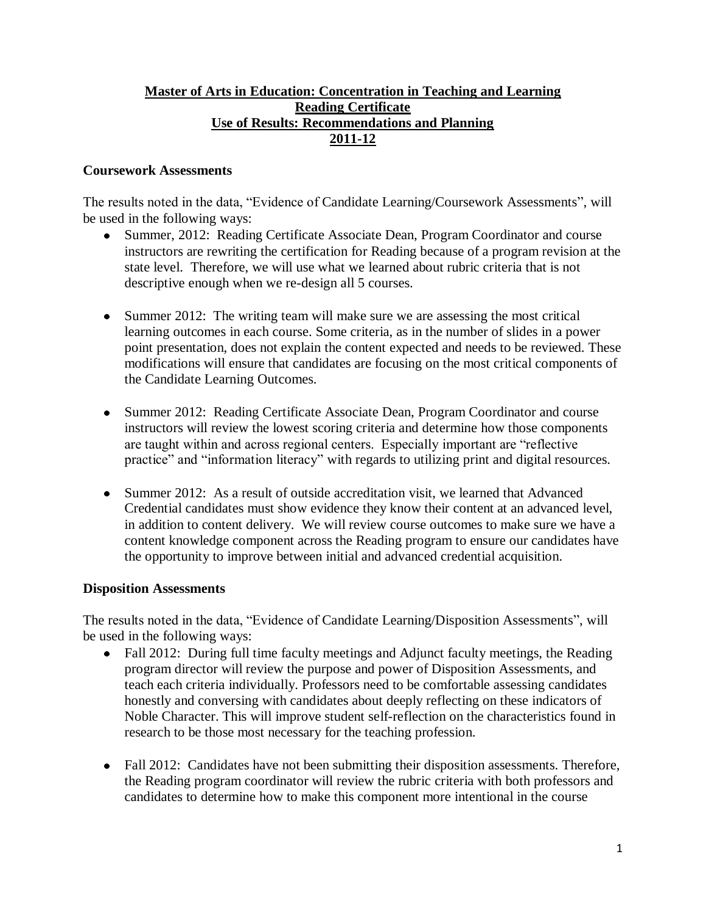## **Master of Arts in Education: Concentration in Teaching and Learning Reading Certificate Use of Results: Recommendations and Planning 2011-12**

## **Coursework Assessments**

The results noted in the data, "Evidence of Candidate Learning/Coursework Assessments", will be used in the following ways:

- Summer, 2012: Reading Certificate Associate Dean, Program Coordinator and course instructors are rewriting the certification for Reading because of a program revision at the state level. Therefore, we will use what we learned about rubric criteria that is not descriptive enough when we re-design all 5 courses.
- Summer 2012: The writing team will make sure we are assessing the most critical learning outcomes in each course. Some criteria, as in the number of slides in a power point presentation, does not explain the content expected and needs to be reviewed. These modifications will ensure that candidates are focusing on the most critical components of the Candidate Learning Outcomes.
- Summer 2012: Reading Certificate Associate Dean, Program Coordinator and course instructors will review the lowest scoring criteria and determine how those components are taught within and across regional centers. Especially important are "reflective practice" and "information literacy" with regards to utilizing print and digital resources.
- Summer 2012: As a result of outside accreditation visit, we learned that Advanced Credential candidates must show evidence they know their content at an advanced level, in addition to content delivery. We will review course outcomes to make sure we have a content knowledge component across the Reading program to ensure our candidates have the opportunity to improve between initial and advanced credential acquisition.

## **Disposition Assessments**

The results noted in the data, "Evidence of Candidate Learning/Disposition Assessments", will be used in the following ways:

- Fall 2012: During full time faculty meetings and Adjunct faculty meetings, the Reading  $\bullet$ program director will review the purpose and power of Disposition Assessments, and teach each criteria individually. Professors need to be comfortable assessing candidates honestly and conversing with candidates about deeply reflecting on these indicators of Noble Character. This will improve student self-reflection on the characteristics found in research to be those most necessary for the teaching profession.
- Fall 2012: Candidates have not been submitting their disposition assessments. Therefore, the Reading program coordinator will review the rubric criteria with both professors and candidates to determine how to make this component more intentional in the course